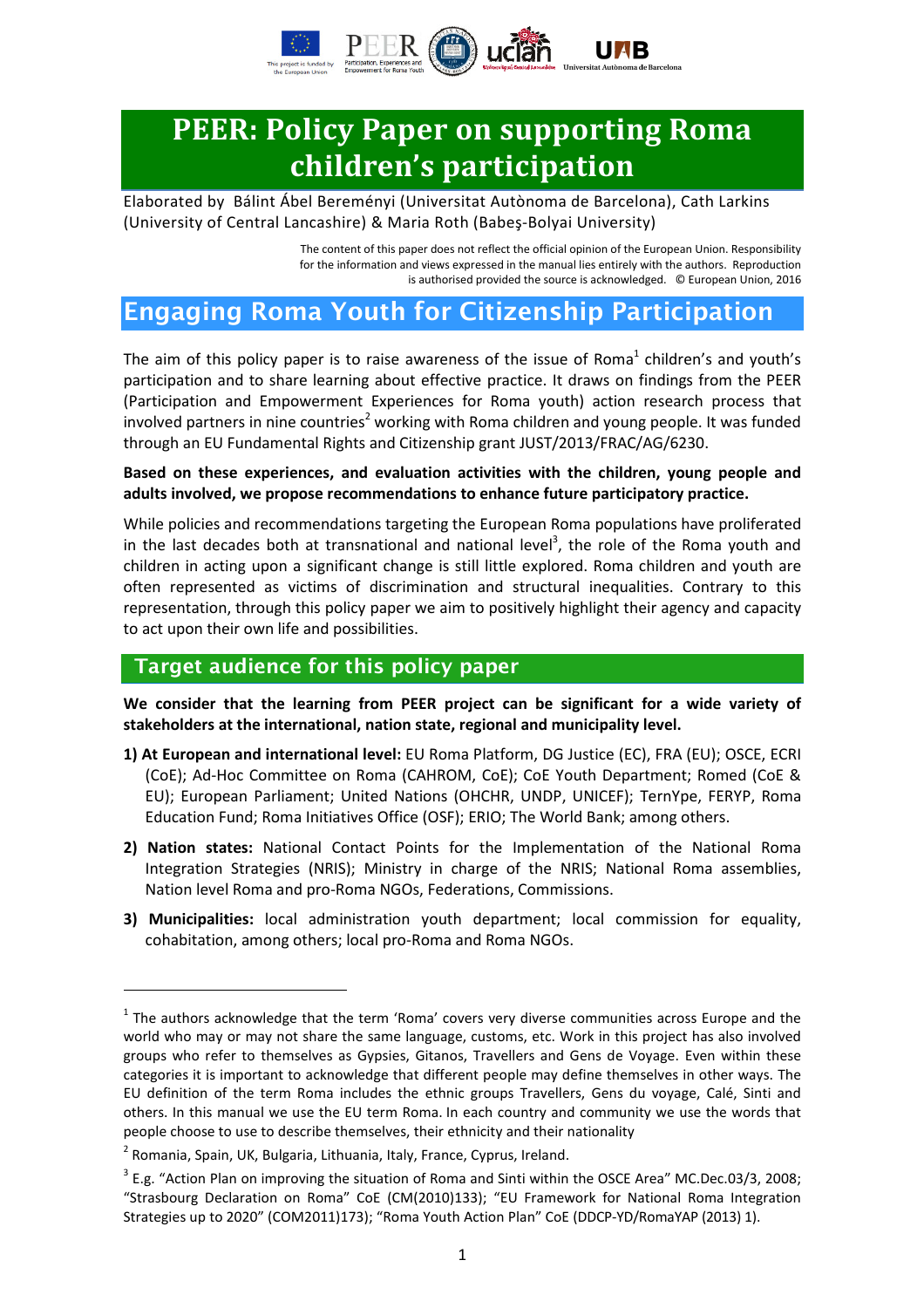

# **PEER: Policy Paper on supporting Roma** children's participation

Elaborated by Bálint Ábel Bereményi (Universitat Autònoma de Barcelona), Cath Larkins (University of Central Lancashire) & Maria Roth (Babeş-Bolyai University)

> The content of this paper does not reflect the official opinion of the European Union. Responsibility for the information and views expressed in the manual lies entirely with the authors. Reproduction is authorised provided the source is acknowledged. © European Union, 2016

## Engaging Roma Youth for Citizenship Participation

The aim of this policy paper is to raise awareness of the issue of Roma $^1$  children's and youth's participation and to share learning about effective practice. It draws on findings from the PEER (Participation and Empowerment Experiences for Roma youth) action research process that involved partners in nine countries<sup>2</sup> working with Roma children and young people. It was funded through an EU Fundamental Rights and Citizenship grant JUST/2013/FRAC/AG/6230.

#### Based on these experiences, and evaluation activities with the children, young people and adults involved, we propose recommendations to enhance future participatory practice.

While policies and recommendations targeting the European Roma populations have proliferated in the last decades both at transnational and national level<sup>3</sup>, the role of the Roma youth and children in acting upon a significant change is still little explored. Roma children and youth are often represented as victims of discrimination and structural inequalities. Contrary to this representation, through this policy paper we aim to positively highlight their agency and capacity to act upon their own life and possibilities.

#### Target audience for this policy paper

We consider that the learning from PEER project can be significant for a wide variety of stakeholders at the international, nation state, regional and municipality level.

- 1) At European and international level: EU Roma Platform, DG Justice (EC), FRA (EU); OSCE, ECRI (CoE); Ad-Hoc Committee on Roma (CAHROM, CoE); CoE Youth Department; Romed (CoE & EU); European Parliament; United Nations (OHCHR, UNDP, UNICEF); TernYpe, FERYP, Roma Education Fund; Roma Initiatives Office (OSF); ERIO; The World Bank; among others.
- 2) Nation states: National Contact Points for the Implementation of the National Roma Integration Strategies (NRIS); Ministry in charge of the NRIS; National Roma assemblies, Nation level Roma and pro-Roma NGOs, Federations, Commissions.
- 3) Municipalities: local administration youth department; local commission for equality, cohabitation, among others; local pro-Roma and Roma NGOs.

 $<sup>1</sup>$  The authors acknowledge that the term 'Roma' covers very diverse communities across Europe and the</sup> world who may or may not share the same language, customs, etc. Work in this project has also involved groups who refer to themselves as Gypsies, Gitanos, Travellers and Gens de Voyage. Even within these categories it is important to acknowledge that different people may define themselves in other ways. The EU definition of the term Roma includes the ethnic groups Travellers, Gens du voyage, Calé, Sinti and others. In this manual we use the EU term Roma. In each country and community we use the words that people choose to use to describe themselves, their ethnicity and their nationality

<sup>&</sup>lt;sup>2</sup> Romania, Spain, UK, Bulgaria, Lithuania, Italy, France, Cyprus, Ireland.

 $3$  E.g. "Action Plan on improving the situation of Roma and Sinti within the OSCE Area" MC.Dec.03/3, 2008; "Strasbourg Declaration on Roma" CoE (CM(2010)133); "EU Framework for National Roma Integration Strategies up to 2020" (COM2011)173); "Roma Youth Action Plan" CoE (DDCP-YD/RomaYAP (2013) 1).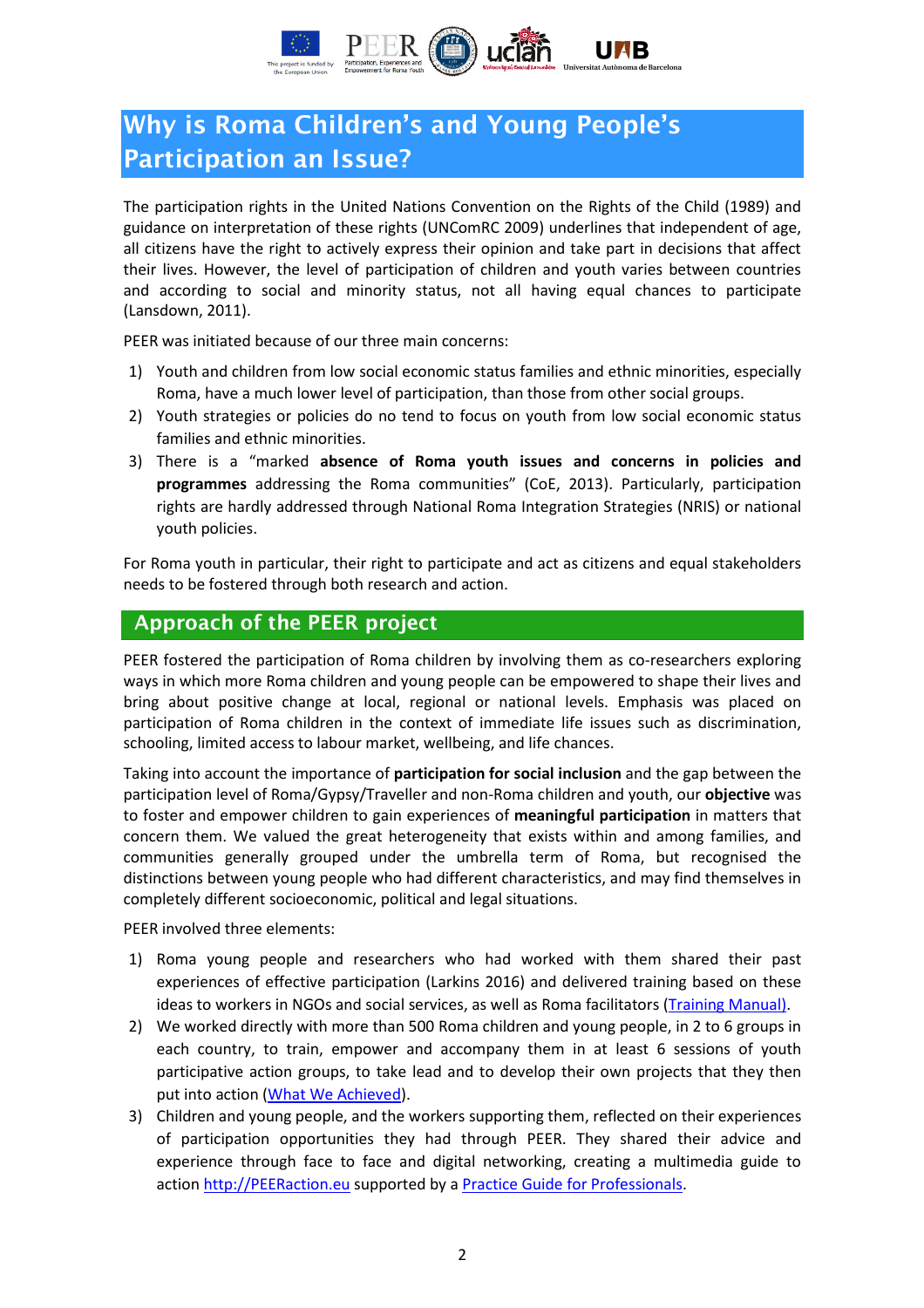

# Why is Roma Children's and Young People's Participation an Issue?

The participation rights in the United Nations Convention on the Rights of the Child (1989) and guidance on interpretation of these rights (UNComRC 2009) underlines that independent of age, all citizens have the right to actively express their opinion and take part in decisions that affect their lives. However, the level of participation of children and youth varies between countries and according to social and minority status, not all having equal chances to participate (Lansdown, 2011).

PEER was initiated because of our three main concerns:

- 1) Youth and children from low social economic status families and ethnic minorities, especially Roma, have a much lower level of participation, than those from other social groups.
- 2) Youth strategies or policies do no tend to focus on youth from low social economic status families and ethnic minorities.
- 3) There is a "marked absence of Roma youth issues and concerns in policies and programmes addressing the Roma communities" (CoE, 2013). Particularly, participation rights are hardly addressed through National Roma Integration Strategies (NRIS) or national youth policies.

For Roma youth in particular, their right to participate and act as citizens and equal stakeholders needs to be fostered through both research and action.

#### Approach of the PEER project

PEER fostered the participation of Roma children by involving them as co-researchers exploring ways in which more Roma children and young people can be empowered to shape their lives and bring about positive change at local, regional or national levels. Emphasis was placed on participation of Roma children in the context of immediate life issues such as discrimination, schooling, limited access to labour market, wellbeing, and life chances.

Taking into account the importance of **participation for social inclusion** and the gap between the participation level of Roma/Gypsy/Traveller and non-Roma children and youth, our objective was to foster and empower children to gain experiences of meaningful participation in matters that concern them. We valued the great heterogeneity that exists within and among families, and communities generally grouped under the umbrella term of Roma, but recognised the distinctions between young people who had different characteristics, and may find themselves in completely different socioeconomic, political and legal situations.

PEER involved three elements:

- 1) Roma young people and researchers who had worked with them shared their past experiences of effective participation (Larkins 2016) and delivered training based on these ideas to workers in NGOs and social services, as well as Roma facilitators (Training Manual).
- 2) We worked directly with more than 500 Roma children and young people, in 2 to 6 groups in each country, to train, empower and accompany them in at least 6 sessions of youth participative action groups, to take lead and to develop their own projects that they then put into action (What We Achieved).
- 3) Children and young people, and the workers supporting them, reflected on their experiences of participation opportunities they had through PEER. They shared their advice and experience through face to face and digital networking, creating a multimedia guide to action http://PEERaction.eu supported by a Practice Guide for Professionals.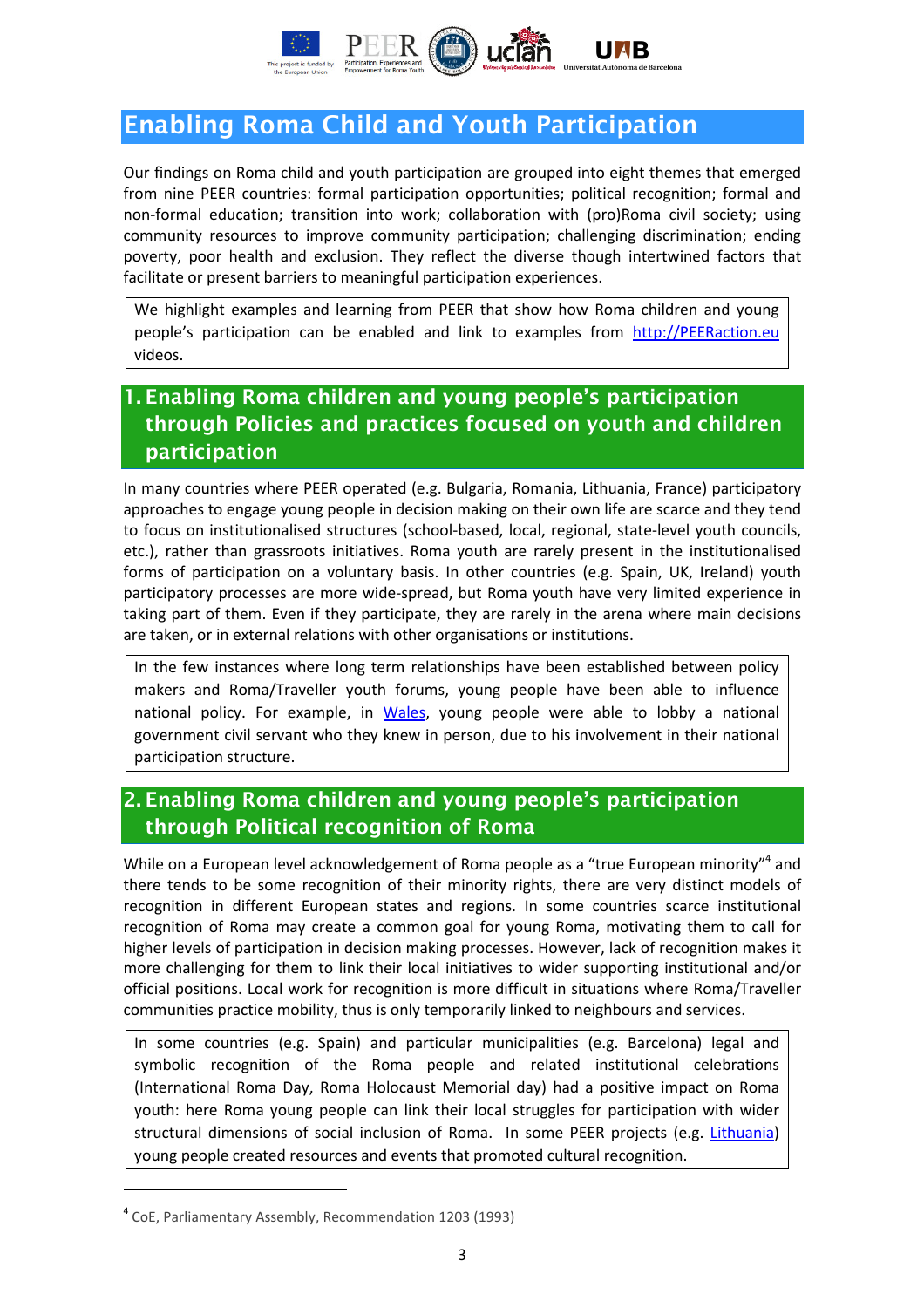

# Enabling Roma Child and Youth Participation

Our findings on Roma child and youth participation are grouped into eight themes that emerged from nine PEER countries: formal participation opportunities; political recognition; formal and non-formal education; transition into work; collaboration with (pro)Roma civil society; using community resources to improve community participation; challenging discrimination; ending poverty, poor health and exclusion. They reflect the diverse though intertwined factors that facilitate or present barriers to meaningful participation experiences.

We highlight examples and learning from PEER that show how Roma children and young people's participation can be enabled and link to examples from http://PEERaction.eu videos.

### 1. Enabling Roma children and young people's participation through Policies and practices focused on youth and children participation

In many countries where PEER operated (e.g. Bulgaria, Romania, Lithuania, France) participatory approaches to engage young people in decision making on their own life are scarce and they tend to focus on institutionalised structures (school-based, local, regional, state-level youth councils, etc.), rather than grassroots initiatives. Roma youth are rarely present in the institutionalised forms of participation on a voluntary basis. In other countries (e.g. Spain, UK, Ireland) youth participatory processes are more wide-spread, but Roma youth have very limited experience in taking part of them. Even if they participate, they are rarely in the arena where main decisions are taken, or in external relations with other organisations or institutions.

In the few instances where long term relationships have been established between policy makers and Roma/Traveller youth forums, young people have been able to influence national policy. For example, in Wales, young people were able to lobby a national government civil servant who they knew in person, due to his involvement in their national participation structure.

### 2. Enabling Roma children and young people's participation through Political recognition of Roma

While on a European level acknowledgement of Roma people as a "true European minority"<sup>4</sup> and there tends to be some recognition of their minority rights, there are very distinct models of recognition in different European states and regions. In some countries scarce institutional recognition of Roma may create a common goal for young Roma, motivating them to call for higher levels of participation in decision making processes. However, lack of recognition makes it more challenging for them to link their local initiatives to wider supporting institutional and/or official positions. Local work for recognition is more difficult in situations where Roma/Traveller communities practice mobility, thus is only temporarily linked to neighbours and services.

In some countries (e.g. Spain) and particular municipalities (e.g. Barcelona) legal and symbolic recognition of the Roma people and related institutional celebrations (International Roma Day, Roma Holocaust Memorial day) had a positive impact on Roma youth: here Roma young people can link their local struggles for participation with wider structural dimensions of social inclusion of Roma. In some PEER projects (e.g. Lithuania) young people created resources and events that promoted cultural recognition.

l

<sup>4</sup> CoE, Parliamentary Assembly, Recommendation 1203 (1993)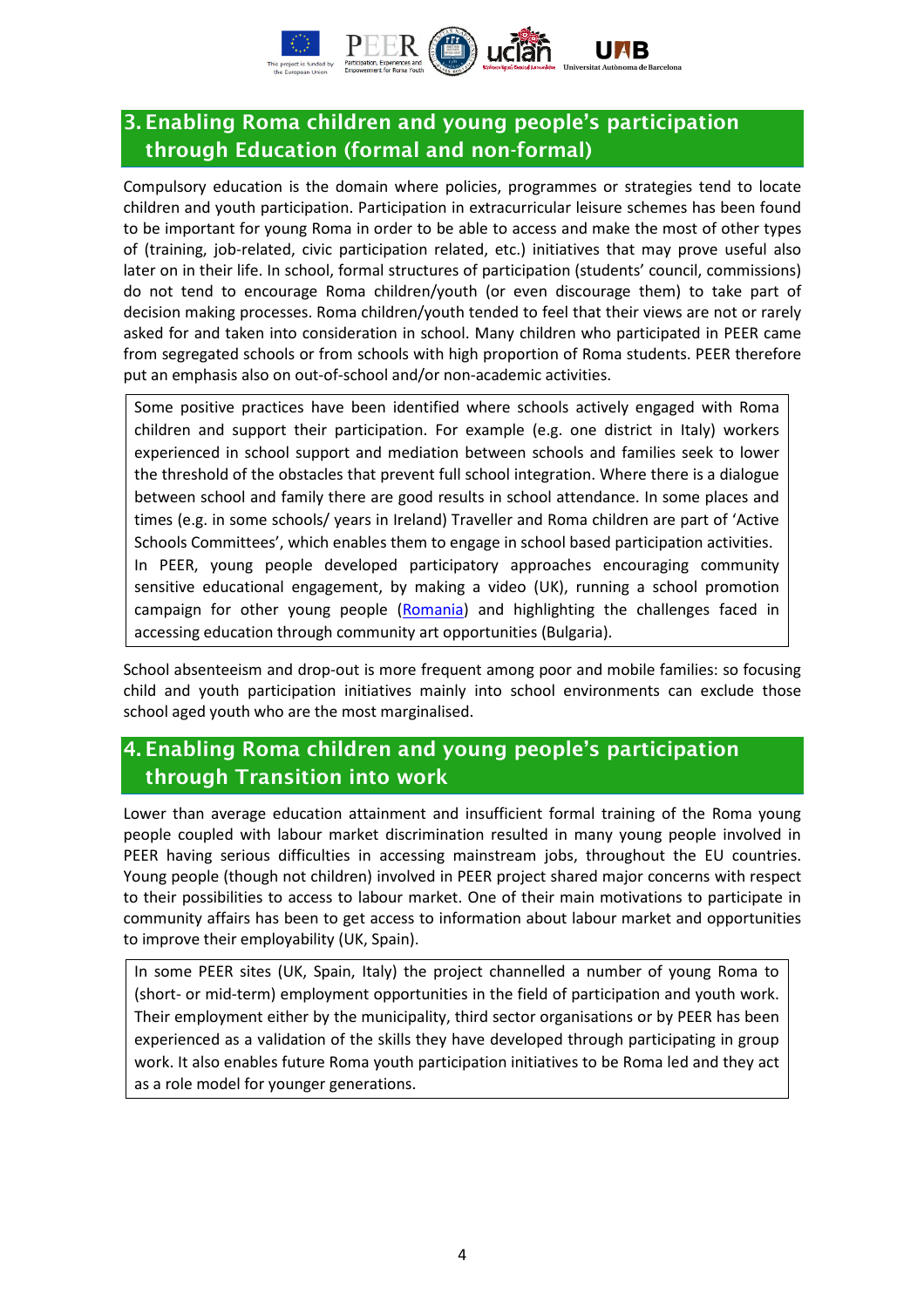

### 3. Enabling Roma children and young people's participation through Education (formal and non-formal)

Compulsory education is the domain where policies, programmes or strategies tend to locate children and youth participation. Participation in extracurricular leisure schemes has been found to be important for young Roma in order to be able to access and make the most of other types of (training, job-related, civic participation related, etc.) initiatives that may prove useful also later on in their life. In school, formal structures of participation (students' council, commissions) do not tend to encourage Roma children/youth (or even discourage them) to take part of decision making processes. Roma children/youth tended to feel that their views are not or rarely asked for and taken into consideration in school. Many children who participated in PEER came from segregated schools or from schools with high proportion of Roma students. PEER therefore put an emphasis also on out-of-school and/or non-academic activities.

Some positive practices have been identified where schools actively engaged with Roma children and support their participation. For example (e.g. one district in Italy) workers experienced in school support and mediation between schools and families seek to lower the threshold of the obstacles that prevent full school integration. Where there is a dialogue between school and family there are good results in school attendance. In some places and times (e.g. in some schools/ years in Ireland) Traveller and Roma children are part of 'Active Schools Committees', which enables them to engage in school based participation activities. In PEER, young people developed participatory approaches encouraging community sensitive educational engagement, by making a video (UK), running a school promotion campaign for other young people (Romania) and highlighting the challenges faced in accessing education through community art opportunities (Bulgaria).

School absenteeism and drop-out is more frequent among poor and mobile families: so focusing child and youth participation initiatives mainly into school environments can exclude those school aged youth who are the most marginalised.

#### 4. Enabling Roma children and young people's participation through Transition into work

Lower than average education attainment and insufficient formal training of the Roma young people coupled with labour market discrimination resulted in many young people involved in PEER having serious difficulties in accessing mainstream jobs, throughout the EU countries. Young people (though not children) involved in PEER project shared major concerns with respect to their possibilities to access to labour market. One of their main motivations to participate in community affairs has been to get access to information about labour market and opportunities to improve their employability (UK, Spain).

In some PEER sites (UK, Spain, Italy) the project channelled a number of young Roma to (short- or mid-term) employment opportunities in the field of participation and youth work. Their employment either by the municipality, third sector organisations or by PEER has been experienced as a validation of the skills they have developed through participating in group work. It also enables future Roma youth participation initiatives to be Roma led and they act as a role model for younger generations.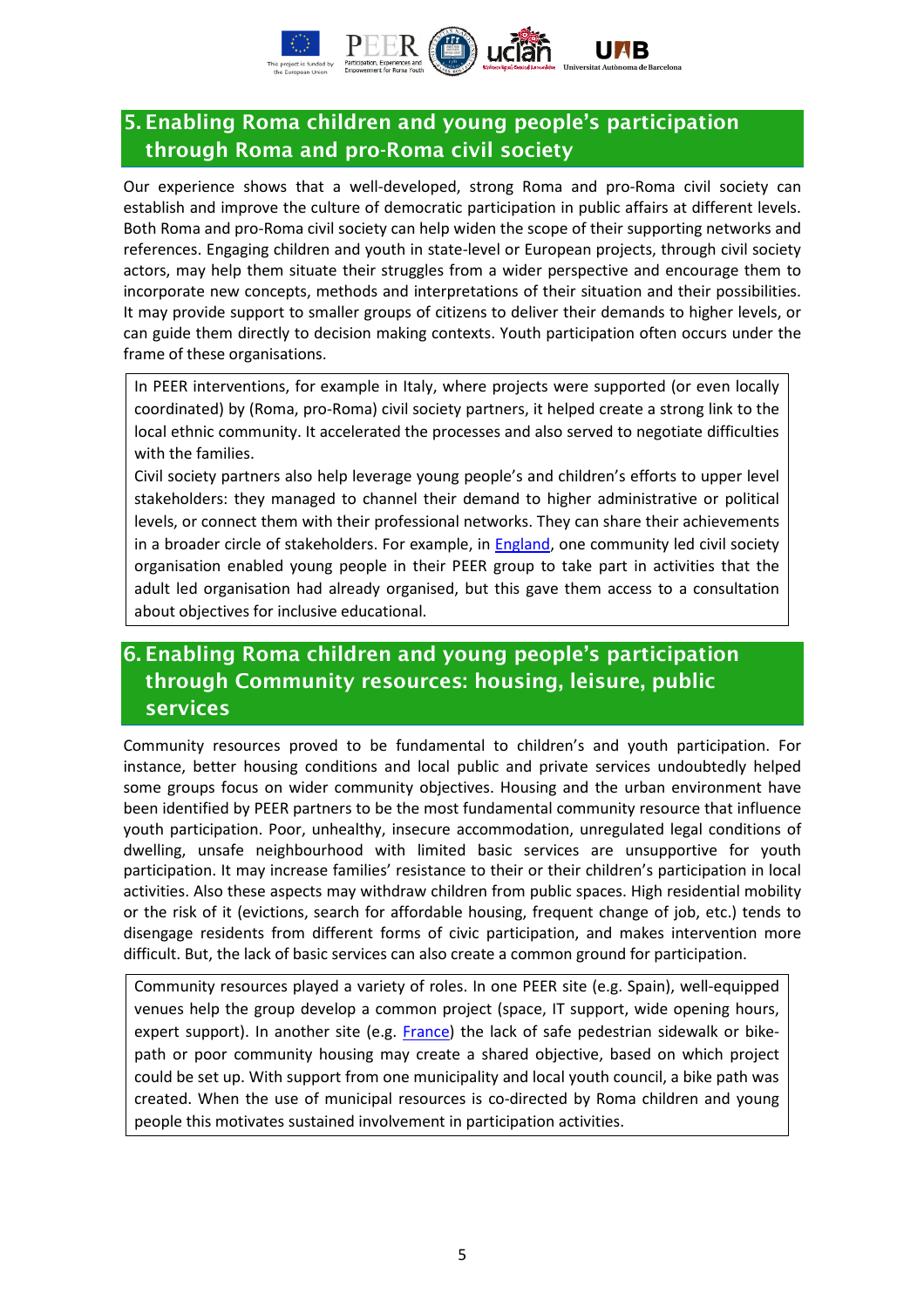

### 5. Enabling Roma children and young people's participation through Roma and pro-Roma civil society

Our experience shows that a well-developed, strong Roma and pro-Roma civil society can establish and improve the culture of democratic participation in public affairs at different levels. Both Roma and pro-Roma civil society can help widen the scope of their supporting networks and references. Engaging children and youth in state-level or European projects, through civil society actors, may help them situate their struggles from a wider perspective and encourage them to incorporate new concepts, methods and interpretations of their situation and their possibilities. It may provide support to smaller groups of citizens to deliver their demands to higher levels, or can guide them directly to decision making contexts. Youth participation often occurs under the frame of these organisations.

In PEER interventions, for example in Italy, where projects were supported (or even locally coordinated) by (Roma, pro-Roma) civil society partners, it helped create a strong link to the local ethnic community. It accelerated the processes and also served to negotiate difficulties with the families.

Civil society partners also help leverage young people's and children's efforts to upper level stakeholders: they managed to channel their demand to higher administrative or political levels, or connect them with their professional networks. They can share their achievements in a broader circle of stakeholders. For example, in England, one community led civil society organisation enabled young people in their PEER group to take part in activities that the adult led organisation had already organised, but this gave them access to a consultation about objectives for inclusive educational.

### 6. Enabling Roma children and young people's participation through Community resources: housing, leisure, public services

Community resources proved to be fundamental to children's and youth participation. For instance, better housing conditions and local public and private services undoubtedly helped some groups focus on wider community objectives. Housing and the urban environment have been identified by PEER partners to be the most fundamental community resource that influence youth participation. Poor, unhealthy, insecure accommodation, unregulated legal conditions of dwelling, unsafe neighbourhood with limited basic services are unsupportive for youth participation. It may increase families' resistance to their or their children's participation in local activities. Also these aspects may withdraw children from public spaces. High residential mobility or the risk of it (evictions, search for affordable housing, frequent change of job, etc.) tends to disengage residents from different forms of civic participation, and makes intervention more difficult. But, the lack of basic services can also create a common ground for participation.

Community resources played a variety of roles. In one PEER site (e.g. Spain), well-equipped venues help the group develop a common project (space, IT support, wide opening hours, expert support). In another site (e.g. France) the lack of safe pedestrian sidewalk or bikepath or poor community housing may create a shared objective, based on which project could be set up. With support from one municipality and local youth council, a bike path was created. When the use of municipal resources is co-directed by Roma children and young people this motivates sustained involvement in participation activities.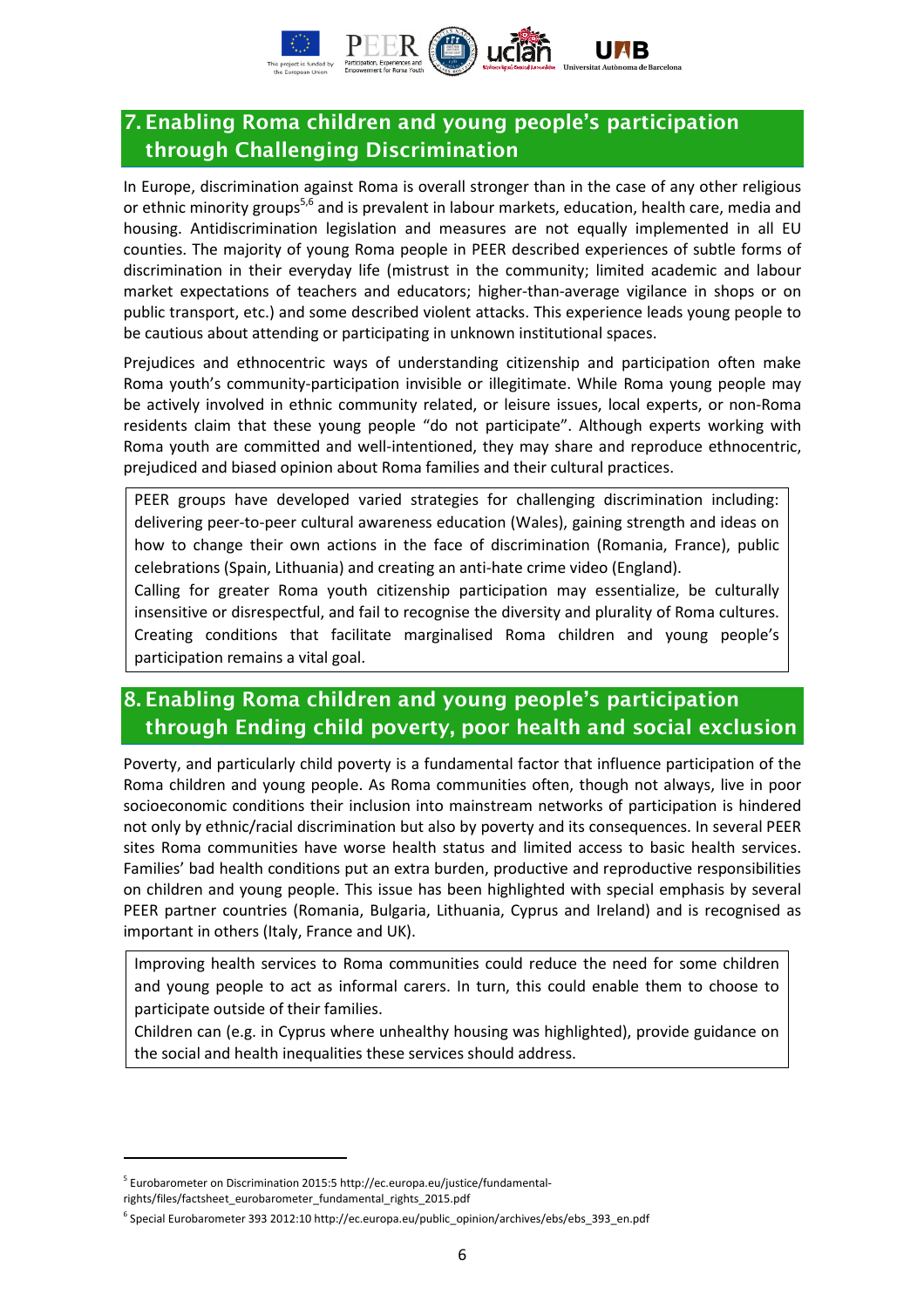

### 7. Enabling Roma children and young people's participation through Challenging Discrimination

In Europe, discrimination against Roma is overall stronger than in the case of any other religious or ethnic minority groups<sup>5,6</sup> and is prevalent in labour markets, education, health care, media and housing. Antidiscrimination legislation and measures are not equally implemented in all EU counties. The majority of young Roma people in PEER described experiences of subtle forms of discrimination in their everyday life (mistrust in the community; limited academic and labour market expectations of teachers and educators; higher-than-average vigilance in shops or on public transport, etc.) and some described violent attacks. This experience leads young people to be cautious about attending or participating in unknown institutional spaces.

Prejudices and ethnocentric ways of understanding citizenship and participation often make Roma youth's community-participation invisible or illegitimate. While Roma young people may be actively involved in ethnic community related, or leisure issues, local experts, or non-Roma residents claim that these young people "do not participate". Although experts working with Roma youth are committed and well-intentioned, they may share and reproduce ethnocentric, prejudiced and biased opinion about Roma families and their cultural practices.

PEER groups have developed varied strategies for challenging discrimination including: delivering peer-to-peer cultural awareness education (Wales), gaining strength and ideas on how to change their own actions in the face of discrimination (Romania, France), public celebrations (Spain, Lithuania) and creating an anti-hate crime video (England).

Calling for greater Roma youth citizenship participation may essentialize, be culturally insensitive or disrespectful, and fail to recognise the diversity and plurality of Roma cultures. Creating conditions that facilitate marginalised Roma children and young people's participation remains a vital goal.

## 8. Enabling Roma children and young people's participation through Ending child poverty, poor health and social exclusion

Poverty, and particularly child poverty is a fundamental factor that influence participation of the Roma children and young people. As Roma communities often, though not always, live in poor socioeconomic conditions their inclusion into mainstream networks of participation is hindered not only by ethnic/racial discrimination but also by poverty and its consequences. In several PEER sites Roma communities have worse health status and limited access to basic health services. Families' bad health conditions put an extra burden, productive and reproductive responsibilities on children and young people. This issue has been highlighted with special emphasis by several PEER partner countries (Romania, Bulgaria, Lithuania, Cyprus and Ireland) and is recognised as important in others (Italy, France and UK).

Improving health services to Roma communities could reduce the need for some children and young people to act as informal carers. In turn, this could enable them to choose to participate outside of their families.

Children can (e.g. in Cyprus where unhealthy housing was highlighted), provide guidance on the social and health inequalities these services should address.

l

<sup>&</sup>lt;sup>5</sup> Eurobarometer on Discrimination 2015:5 http://ec.europa.eu/justice/fundamental-

rights/files/factsheet\_eurobarometer\_fundamental\_rights\_2015.pdf

<sup>&</sup>lt;sup>6</sup> Special Eurobarometer 393 2012:10 http://ec.europa.eu/public\_opinion/archives/ebs/ebs\_393\_en.pdf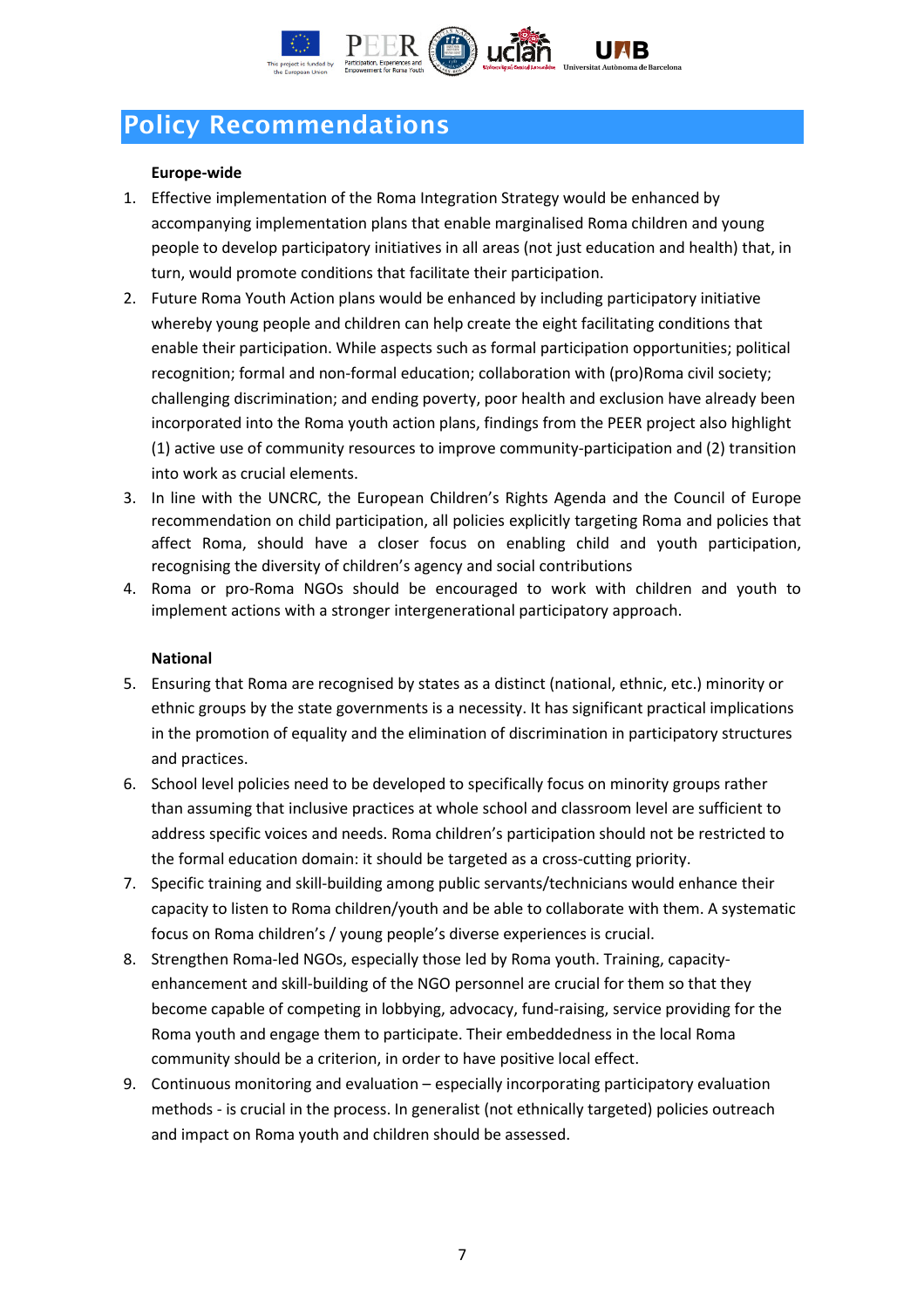

# Policy Recommendations

#### Europe-wide

- 1. Effective implementation of the Roma Integration Strategy would be enhanced by accompanying implementation plans that enable marginalised Roma children and young people to develop participatory initiatives in all areas (not just education and health) that, in turn, would promote conditions that facilitate their participation.
- 2. Future Roma Youth Action plans would be enhanced by including participatory initiative whereby young people and children can help create the eight facilitating conditions that enable their participation. While aspects such as formal participation opportunities; political recognition; formal and non-formal education; collaboration with (pro)Roma civil society; challenging discrimination; and ending poverty, poor health and exclusion have already been incorporated into the Roma youth action plans, findings from the PEER project also highlight (1) active use of community resources to improve community-participation and (2) transition into work as crucial elements.
- 3. In line with the UNCRC, the European Children's Rights Agenda and the Council of Europe recommendation on child participation, all policies explicitly targeting Roma and policies that affect Roma, should have a closer focus on enabling child and youth participation, recognising the diversity of children's agency and social contributions
- 4. Roma or pro-Roma NGOs should be encouraged to work with children and youth to implement actions with a stronger intergenerational participatory approach.

#### National

- 5. Ensuring that Roma are recognised by states as a distinct (national, ethnic, etc.) minority or ethnic groups by the state governments is a necessity. It has significant practical implications in the promotion of equality and the elimination of discrimination in participatory structures and practices.
- 6. School level policies need to be developed to specifically focus on minority groups rather than assuming that inclusive practices at whole school and classroom level are sufficient to address specific voices and needs. Roma children's participation should not be restricted to the formal education domain: it should be targeted as a cross-cutting priority.
- 7. Specific training and skill-building among public servants/technicians would enhance their capacity to listen to Roma children/youth and be able to collaborate with them. A systematic focus on Roma children's / young people's diverse experiences is crucial.
- 8. Strengthen Roma-led NGOs, especially those led by Roma youth. Training, capacityenhancement and skill-building of the NGO personnel are crucial for them so that they become capable of competing in lobbying, advocacy, fund-raising, service providing for the Roma youth and engage them to participate. Their embeddedness in the local Roma community should be a criterion, in order to have positive local effect.
- 9. Continuous monitoring and evaluation especially incorporating participatory evaluation methods - is crucial in the process. In generalist (not ethnically targeted) policies outreach and impact on Roma youth and children should be assessed.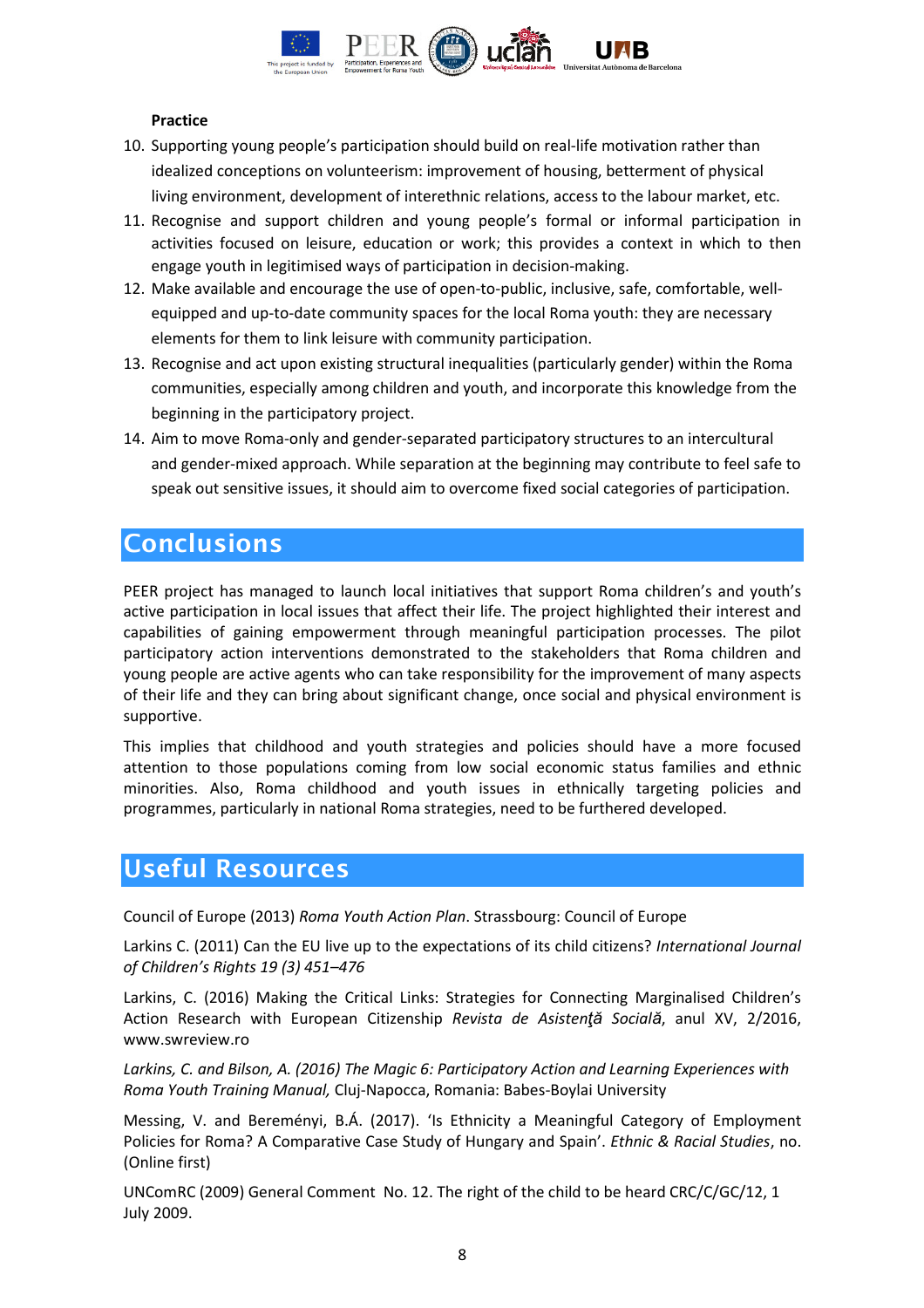

#### Practice

- 10. Supporting young people's participation should build on real-life motivation rather than idealized conceptions on volunteerism: improvement of housing, betterment of physical living environment, development of interethnic relations, access to the labour market, etc.
- 11. Recognise and support children and young people's formal or informal participation in activities focused on leisure, education or work; this provides a context in which to then engage youth in legitimised ways of participation in decision-making.
- 12. Make available and encourage the use of open-to-public, inclusive, safe, comfortable, wellequipped and up-to-date community spaces for the local Roma youth: they are necessary elements for them to link leisure with community participation.
- 13. Recognise and act upon existing structural inequalities (particularly gender) within the Roma communities, especially among children and youth, and incorporate this knowledge from the beginning in the participatory project.
- 14. Aim to move Roma-only and gender-separated participatory structures to an intercultural and gender-mixed approach. While separation at the beginning may contribute to feel safe to speak out sensitive issues, it should aim to overcome fixed social categories of participation.

## Conclusions

PEER project has managed to launch local initiatives that support Roma children's and youth's active participation in local issues that affect their life. The project highlighted their interest and capabilities of gaining empowerment through meaningful participation processes. The pilot participatory action interventions demonstrated to the stakeholders that Roma children and young people are active agents who can take responsibility for the improvement of many aspects of their life and they can bring about significant change, once social and physical environment is supportive.

This implies that childhood and youth strategies and policies should have a more focused attention to those populations coming from low social economic status families and ethnic minorities. Also, Roma childhood and youth issues in ethnically targeting policies and programmes, particularly in national Roma strategies, need to be furthered developed.

### Useful Resources

Council of Europe (2013) Roma Youth Action Plan. Strassbourg: Council of Europe

Larkins C. (2011) Can the EU live up to the expectations of its child citizens? International Journal of Children's Rights 19 (3) 451–476

Larkins, C. (2016) Making the Critical Links: Strategies for Connecting Marginalised Children's Action Research with European Citizenship Revista de Asistență Socială, anul XV, 2/2016, www.swreview.ro

Larkins, C. and Bilson, A. (2016) The Magic 6: Participatory Action and Learning Experiences with Roma Youth Training Manual, Cluj-Napocca, Romania: Babes-Boylai University

Messing, V. and Bereményi, B.Á. (2017). 'Is Ethnicity a Meaningful Category of Employment Policies for Roma? A Comparative Case Study of Hungary and Spain'. Ethnic & Racial Studies, no. (Online first)

UNComRC (2009) General Comment No. 12. The right of the child to be heard CRC/C/GC/12, 1 July 2009.